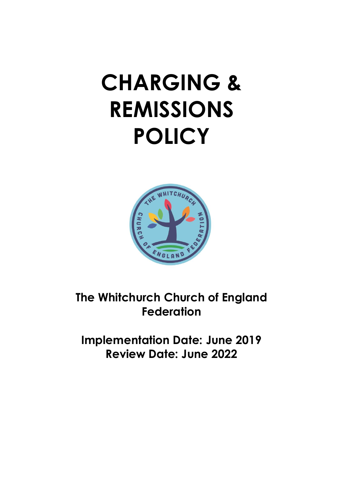# **CHARGING & REMISSIONS POLICY**



**The Whitchurch Church of England Federation**

**Implementation Date: June 2019 Review Date: June 2022**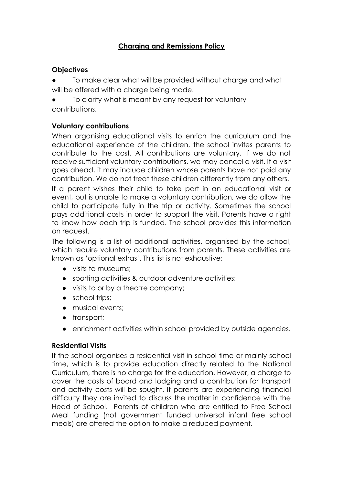# **Charging and Remissions Policy**

## **Objectives**

- To make clear what will be provided without charge and what will be offered with a charge being made.
- To clarify what is meant by any request for voluntary contributions.

## **Voluntary contributions**

When organising educational visits to enrich the curriculum and the educational experience of the children, the school invites parents to contribute to the cost. All contributions are voluntary. If we do not receive sufficient voluntary contributions, we may cancel a visit. If a visit goes ahead, it may include children whose parents have not paid any contribution. We do not treat these children differently from any others.

If a parent wishes their child to take part in an educational visit or event, but is unable to make a voluntary contribution, we do allow the child to participate fully in the trip or activity. Sometimes the school pays additional costs in order to support the visit. Parents have a right to know how each trip is funded. The school provides this information on request.

The following is a list of additional activities, organised by the school, which require voluntary contributions from parents. These activities are known as 'optional extras'. This list is not exhaustive:

- visits to museums;
- sporting activities & outdoor adventure activities;
- visits to or by a theatre company;
- school trips;
- musical events;
- transport;
- enrichment activities within school provided by outside agencies.

#### **Residential Visits**

If the school organises a residential visit in school time or mainly school time, which is to provide education directly related to the National Curriculum, there is no charge for the education. However, a charge to cover the costs of board and lodging and a contribution for transport and activity costs will be sought. If parents are experiencing financial difficulty they are invited to discuss the matter in confidence with the Head of School. Parents of children who are entitled to Free School Meal funding (not government funded universal infant free school meals) are offered the option to make a reduced payment.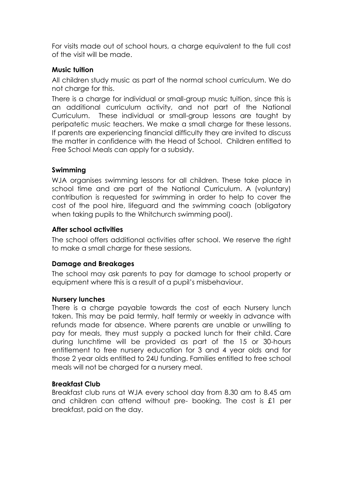For visits made out of school hours, a charge equivalent to the full cost of the visit will be made.

## **Music tuition**

All children study music as part of the normal school curriculum. We do not charge for this.

There is a charge for individual or small-group music tuition, since this is an additional curriculum activity, and not part of the National Curriculum. These individual or small-group lessons are taught by peripatetic music teachers. We make a small charge for these lessons. If parents are experiencing financial difficulty they are invited to discuss the matter in confidence with the Head of School. Children entitled to Free School Meals can apply for a subsidy.

## **Swimming**

WJA organises swimming lessons for all children. These take place in school time and are part of the National Curriculum. A (voluntary) contribution is requested for swimming in order to help to cover the cost of the pool hire, lifeguard and the swimming coach (obligatory when taking pupils to the Whitchurch swimming pool).

## **After school activities**

The school offers additional activities after school. We reserve the right to make a small charge for these sessions.

#### **Damage and Breakages**

The school may ask parents to pay for damage to school property or equipment where this is a result of a pupil's misbehaviour.

#### **Nursery lunches**

There is a charge payable towards the cost of each Nursery lunch taken. This may be paid termly, half termly or weekly in advance with refunds made for absence. Where parents are unable or unwilling to pay for meals, they must supply a packed lunch for their child. Care during lunchtime will be provided as part of the 15 or 30-hours entitlement to free nursery education for 3 and 4 year olds and for those 2 year olds entitled to 24U funding. Families entitled to free school meals will not be charged for a nursery meal.

#### **Breakfast Club**

Breakfast club runs at WJA every school day from 8.30 am to 8.45 am and children can attend without pre- booking. The cost is £1 per breakfast, paid on the day.